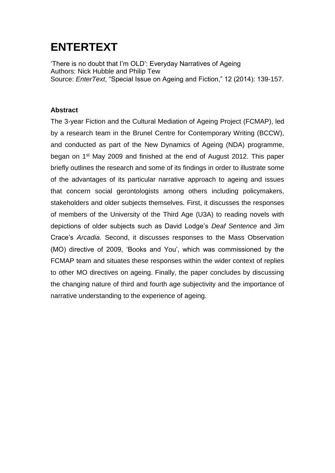## **ENTERTEXT**

'There is no doubt that I'm OLD': Everyday Narratives of Ageing Authors: Nick Hubble and Philip Tew Source: *EnterText*, "Special Issue on Ageing and Fiction," 12 (2014): 139-157.

## **Abstract**

The 3-year Fiction and the Cultural Mediation of Ageing Project (FCMAP), led by a research team in the Brunel Centre for Contemporary Writing (BCCW), and conducted as part of the New Dynamics of Ageing (NDA) programme, began on 1st May 2009 and finished at the end of August 2012. This paper briefly outlines the research and some of its findings in order to illustrate some of the advantages of its particular narrative approach to ageing and issues that concern social gerontologists among others including policymakers, stakeholders and older subjects themselves. First, it discusses the responses of members of the University of the Third Age (U3A) to reading novels with depictions of older subjects such as David Lodge's *Deaf Sentence* and Jim Crace's *Arcadia*. Second, it discusses responses to the Mass Observation (MO) directive of 2009, 'Books and You', which was commissioned by the FCMAP team and situates these responses within the wider context of replies to other MO directives on ageing. Finally, the paper concludes by discussing the changing nature of third and fourth age subjectivity and the importance of narrative understanding to the experience of ageing.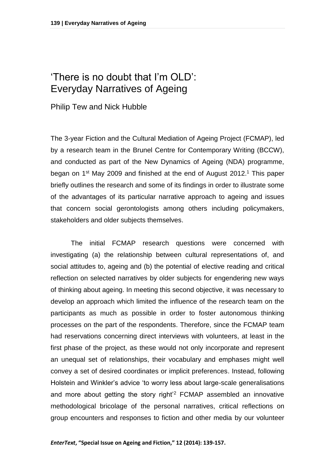## 'There is no doubt that I'm OLD': Everyday Narratives of Ageing

Philip Tew and Nick Hubble

The 3-year Fiction and the Cultural Mediation of Ageing Project (FCMAP), led by a research team in the Brunel Centre for Contemporary Writing (BCCW), and conducted as part of the New Dynamics of Ageing (NDA) programme, began on 1<sup>st</sup> May 2009 and finished at the end of August 2012.<sup>1</sup> This paper briefly outlines the research and some of its findings in order to illustrate some of the advantages of its particular narrative approach to ageing and issues that concern social gerontologists among others including policymakers, stakeholders and older subjects themselves.

The initial FCMAP research questions were concerned with investigating (a) the relationship between cultural representations of, and social attitudes to, ageing and (b) the potential of elective reading and critical reflection on selected narratives by older subjects for engendering new ways of thinking about ageing. In meeting this second objective, it was necessary to develop an approach which limited the influence of the research team on the participants as much as possible in order to foster autonomous thinking processes on the part of the respondents. Therefore, since the FCMAP team had reservations concerning direct interviews with volunteers, at least in the first phase of the project, as these would not only incorporate and represent an unequal set of relationships, their vocabulary and emphases might well convey a set of desired coordinates or implicit preferences. Instead, following Holstein and Winkler's advice 'to worry less about large-scale generalisations and more about getting the story right'<sup>2</sup> FCMAP assembled an innovative methodological bricolage of the personal narratives, critical reflections on group encounters and responses to fiction and other media by our volunteer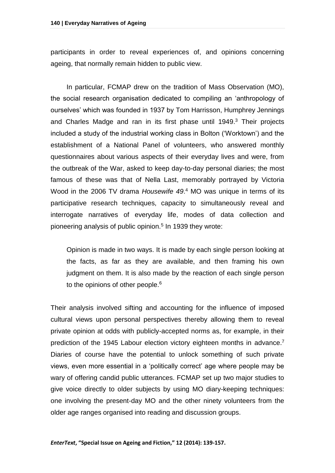participants in order to reveal experiences of, and opinions concerning ageing, that normally remain hidden to public view.

In particular, FCMAP drew on the tradition of Mass Observation (MO), the social research organisation dedicated to compiling an 'anthropology of ourselves' which was founded in 1937 by Tom Harrisson, Humphrey Jennings and Charles Madge and ran in its first phase until 1949. <sup>3</sup> Their projects included a study of the industrial working class in Bolton ('Worktown') and the establishment of a National Panel of volunteers, who answered monthly questionnaires about various aspects of their everyday lives and were, from the outbreak of the War, asked to keep day-to-day personal diaries; the most famous of these was that of Nella Last, memorably portrayed by Victoria Wood in the 2006 TV drama *Housewife 49*. <sup>4</sup> MO was unique in terms of its participative research techniques, capacity to simultaneously reveal and interrogate narratives of everyday life, modes of data collection and pioneering analysis of public opinion.<sup>5</sup> In 1939 they wrote:

Opinion is made in two ways. It is made by each single person looking at the facts, as far as they are available, and then framing his own judgment on them. It is also made by the reaction of each single person to the opinions of other people.<sup>6</sup>

Their analysis involved sifting and accounting for the influence of imposed cultural views upon personal perspectives thereby allowing them to reveal private opinion at odds with publicly-accepted norms as, for example, in their prediction of the 1945 Labour election victory eighteen months in advance.<sup>7</sup> Diaries of course have the potential to unlock something of such private views, even more essential in a 'politically correct' age where people may be wary of offering candid public utterances. FCMAP set up two major studies to give voice directly to older subjects by using MO diary-keeping techniques: one involving the present-day MO and the other ninety volunteers from the older age ranges organised into reading and discussion groups.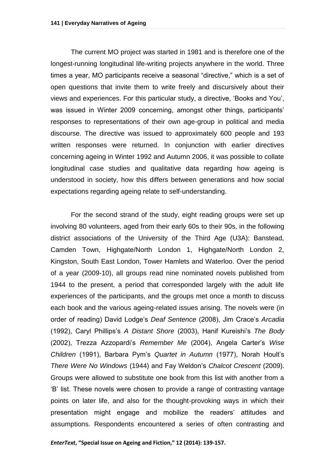The current MO project was started in 1981 and is therefore one of the longest-running longitudinal life-writing projects anywhere in the world. Three times a year, MO participants receive a seasonal "directive," which is a set of open questions that invite them to write freely and discursively about their views and experiences. For this particular study, a directive, 'Books and You', was issued in Winter 2009 concerning, amongst other things, participants' responses to representations of their own age-group in political and media discourse. The directive was issued to approximately 600 people and 193 written responses were returned. In conjunction with earlier directives concerning ageing in Winter 1992 and Autumn 2006, it was possible to collate longitudinal case studies and qualitative data regarding how ageing is understood in society, how this differs between generations and how social expectations regarding ageing relate to self-understanding.

For the second strand of the study, eight reading groups were set up involving 80 volunteers, aged from their early 60s to their 90s, in the following district associations of the University of the Third Age (U3A): Banstead, Camden Town, Highgate/North London 1, Highgate/North London 2, Kingston, South East London, Tower Hamlets and Waterloo. Over the period of a year (2009-10), all groups read nine nominated novels published from 1944 to the present, a period that corresponded largely with the adult life experiences of the participants, and the groups met once a month to discuss each book and the various ageing-related issues arising. The novels were (in order of reading) David Lodge's *Deaf Sentence* (2008), Jim Crace's *Arcadia* (1992), Caryl Phillips's *A Distant Shore* (2003), Hanif Kureishi's *The Body*  (2002), Trezza Azzopardi's *Remember Me* (2004), Angela Carter's *Wise Children* (1991), Barbara Pym's *Quartet in Autumn* (1977), Norah Hoult's *There Were No Windows* (1944) and Fay Weldon's *Chalcot Crescent* (2009). Groups were allowed to substitute one book from this list with another from a 'B' list. These novels were chosen to provide a range of contrasting vantage points on later life, and also for the thought-provoking ways in which their presentation might engage and mobilize the readers' attitudes and assumptions. Respondents encountered a series of often contrasting and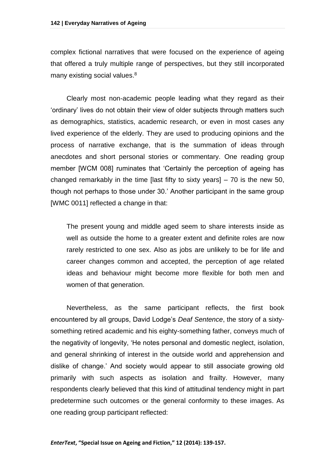complex fictional narratives that were focused on the experience of ageing that offered a truly multiple range of perspectives, but they still incorporated many existing social values.<sup>8</sup>

Clearly most non-academic people leading what they regard as their 'ordinary' lives do not obtain their view of older subjects through matters such as demographics, statistics, academic research, or even in most cases any lived experience of the elderly. They are used to producing opinions and the process of narrative exchange, that is the summation of ideas through anecdotes and short personal stories or commentary. One reading group member [WCM 008] ruminates that 'Certainly the perception of ageing has changed remarkably in the time [last fifty to sixty years] – 70 is the new 50, though not perhaps to those under 30.' Another participant in the same group [WMC 0011] reflected a change in that:

The present young and middle aged seem to share interests inside as well as outside the home to a greater extent and definite roles are now rarely restricted to one sex. Also as jobs are unlikely to be for life and career changes common and accepted, the perception of age related ideas and behaviour might become more flexible for both men and women of that generation.

Nevertheless, as the same participant reflects, the first book encountered by all groups, David Lodge's *Deaf Sentence*, the story of a sixtysomething retired academic and his eighty-something father, conveys much of the negativity of longevity, 'He notes personal and domestic neglect, isolation, and general shrinking of interest in the outside world and apprehension and dislike of change.' And society would appear to still associate growing old primarily with such aspects as isolation and frailty. However, many respondents clearly believed that this kind of attitudinal tendency might in part predetermine such outcomes or the general conformity to these images. As one reading group participant reflected: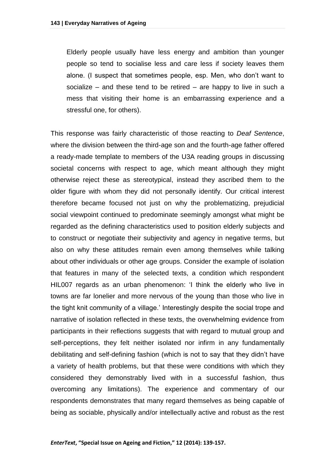Elderly people usually have less energy and ambition than younger people so tend to socialise less and care less if society leaves them alone. (I suspect that sometimes people, esp. Men, who don't want to socialize – and these tend to be retired – are happy to live in such a mess that visiting their home is an embarrassing experience and a stressful one, for others).

This response was fairly characteristic of those reacting to *Deaf Sentence*, where the division between the third-age son and the fourth-age father offered a ready-made template to members of the U3A reading groups in discussing societal concerns with respect to age, which meant although they might otherwise reject these as stereotypical, instead they ascribed them to the older figure with whom they did not personally identify. Our critical interest therefore became focused not just on why the problematizing, prejudicial social viewpoint continued to predominate seemingly amongst what might be regarded as the defining characteristics used to position elderly subjects and to construct or negotiate their subjectivity and agency in negative terms, but also on why these attitudes remain even among themselves while talking about other individuals or other age groups. Consider the example of isolation that features in many of the selected texts, a condition which respondent HIL007 regards as an urban phenomenon: 'I think the elderly who live in towns are far lonelier and more nervous of the young than those who live in the tight knit community of a village.' Interestingly despite the social trope and narrative of isolation reflected in these texts, the overwhelming evidence from participants in their reflections suggests that with regard to mutual group and self-perceptions, they felt neither isolated nor infirm in any fundamentally debilitating and self-defining fashion (which is not to say that they didn't have a variety of health problems, but that these were conditions with which they considered they demonstrably lived with in a successful fashion, thus overcoming any limitations). The experience and commentary of our respondents demonstrates that many regard themselves as being capable of being as sociable, physically and/or intellectually active and robust as the rest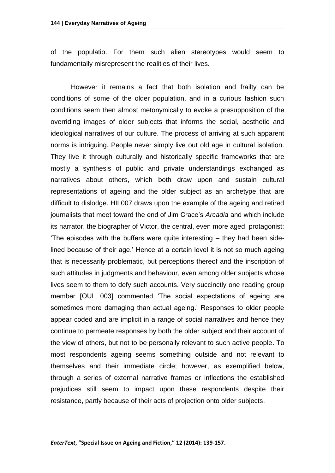of the populatio. For them such alien stereotypes would seem to fundamentally misrepresent the realities of their lives.

However it remains a fact that both isolation and frailty can be conditions of some of the older population, and in a curious fashion such conditions seem then almost metonymically to evoke a presupposition of the overriding images of older subjects that informs the social, aesthetic and ideological narratives of our culture. The process of arriving at such apparent norms is intriguing. People never simply live out old age in cultural isolation. They live it through culturally and historically specific frameworks that are mostly a synthesis of public and private understandings exchanged as narratives about others, which both draw upon and sustain cultural representations of ageing and the older subject as an archetype that are difficult to dislodge. HIL007 draws upon the example of the ageing and retired journalists that meet toward the end of Jim Crace's *Arcadia* and which include its narrator, the biographer of Victor, the central, even more aged, protagonist: 'The episodes with the buffers were quite interesting – they had been sidelined because of their age.' Hence at a certain level it is not so much ageing that is necessarily problematic, but perceptions thereof and the inscription of such attitudes in judgments and behaviour, even among older subjects whose lives seem to them to defy such accounts. Very succinctly one reading group member [OUL 003] commented 'The social expectations of ageing are sometimes more damaging than actual ageing.' Responses to older people appear coded and are implicit in a range of social narratives and hence they continue to permeate responses by both the older subject and their account of the view of others, but not to be personally relevant to such active people. To most respondents ageing seems something outside and not relevant to themselves and their immediate circle; however, as exemplified below, through a series of external narrative frames or inflections the established prejudices still seem to impact upon these respondents despite their resistance, partly because of their acts of projection onto older subjects.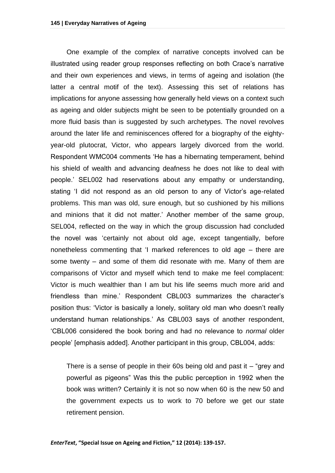One example of the complex of narrative concepts involved can be illustrated using reader group responses reflecting on both Crace's narrative and their own experiences and views, in terms of ageing and isolation (the latter a central motif of the text). Assessing this set of relations has implications for anyone assessing how generally held views on a context such as ageing and older subjects might be seen to be potentially grounded on a more fluid basis than is suggested by such archetypes. The novel revolves around the later life and reminiscences offered for a biography of the eightyyear-old plutocrat, Victor, who appears largely divorced from the world. Respondent WMC004 comments 'He has a hibernating temperament, behind his shield of wealth and advancing deafness he does not like to deal with people.' SEL002 had reservations about any empathy or understanding, stating 'I did not respond as an old person to any of Victor's age-related problems. This man was old, sure enough, but so cushioned by his millions and minions that it did not matter.' Another member of the same group, SEL004, reflected on the way in which the group discussion had concluded the novel was 'certainly not about old age, except tangentially, before nonetheless commenting that 'I marked references to old age – there are some twenty – and some of them did resonate with me. Many of them are comparisons of Victor and myself which tend to make me feel complacent: Victor is much wealthier than I am but his life seems much more arid and friendless than mine.' Respondent CBL003 summarizes the character's position thus: 'Victor is basically a lonely, solitary old man who doesn't really understand human relationships.' As CBL003 says of another respondent, 'CBL006 considered the book boring and had no relevance to *normal* older people' [emphasis added]. Another participant in this group, CBL004, adds:

There is a sense of people in their 60s being old and past it  $-$  "grey and powerful as pigeons" Was this the public perception in 1992 when the book was written? Certainly it is not so now when 60 is the new 50 and the government expects us to work to 70 before we get our state retirement pension.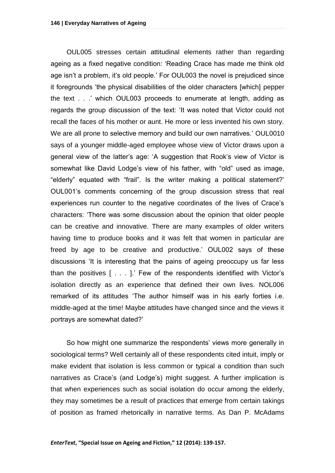OUL005 stresses certain attitudinal elements rather than regarding ageing as a fixed negative condition: 'Reading Crace has made me think old age isn't a problem, it's old people.' For OUL003 the novel is prejudiced since it foregrounds 'the physical disabilities of the older characters [which] pepper the text . . .' which OUL003 proceeds to enumerate at length, adding as regards the group discussion of the text: 'It was noted that Victor could not recall the faces of his mother or aunt. He more or less invented his own story. We are all prone to selective memory and build our own narratives.' OUL0010 says of a younger middle-aged employee whose view of Victor draws upon a general view of the latter's age: 'A suggestion that Rook's view of Victor is somewhat like David Lodge's view of his father, with "old" used as image, "elderly" equated with "frail". Is the writer making a political statement?' OUL001's comments concerning of the group discussion stress that real experiences run counter to the negative coordinates of the lives of Crace's characters: 'There was some discussion about the opinion that older people can be creative and innovative. There are many examples of older writers having time to produce books and it was felt that women in particular are freed by age to be creative and productive.' OUL002 says of these discussions 'It is interesting that the pains of ageing preoccupy us far less than the positives [ . . . ].' Few of the respondents identified with Victor's isolation directly as an experience that defined their own lives. NOL006 remarked of its attitudes 'The author himself was in his early forties i.e. middle-aged at the time! Maybe attitudes have changed since and the views it portrays are somewhat dated?'

So how might one summarize the respondents' views more generally in sociological terms? Well certainly all of these respondents cited intuit, imply or make evident that isolation is less common or typical a condition than such narratives as Crace's (and Lodge's) might suggest. A further implication is that when experiences such as social isolation do occur among the elderly, they may sometimes be a result of practices that emerge from certain takings of position as framed rhetorically in narrative terms. As Dan P. McAdams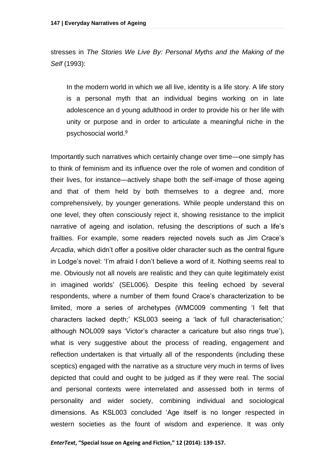stresses in *The Stories We Live By: Personal Myths and the Making of the Self* (1993):

In the modern world in which we all live, identity is a life story. A life story is a personal myth that an individual begins working on in late adolescence an d young adulthood in order to provide his or her life with unity or purpose and in order to articulate a meaningful niche in the psychosocial world.<sup>9</sup>

Importantly such narratives which certainly change over time—one simply has to think of feminism and its influence over the role of women and condition of their lives, for instance—actively shape both the self-image of those ageing and that of them held by both themselves to a degree and, more comprehensively, by younger generations. While people understand this on one level, they often consciously reject it, showing resistance to the implicit narrative of ageing and isolation, refusing the descriptions of such a life's frailties. For example, some readers rejected novels such as Jim Crace's *Arcadia*, which didn't offer a positive older character such as the central figure in Lodge's novel: 'I'm afraid I don't believe a word of it. Nothing seems real to me. Obviously not all novels are realistic and they can quite legitimately exist in imagined worlds' (SEL006). Despite this feeling echoed by several respondents, where a number of them found Crace's characterization to be limited, more a series of archetypes (WMC009 commenting 'I felt that characters lacked depth;' KSL003 seeing a 'lack of full characterisation;' although NOL009 says 'Victor's character a caricature but also rings true'), what is very suggestive about the process of reading, engagement and reflection undertaken is that virtually all of the respondents (including these sceptics) engaged with the narrative as a structure very much in terms of lives depicted that could and ought to be judged as if they were real. The social and personal contexts were interrelated and assessed both in terms of personality and wider society, combining individual and sociological dimensions. As KSL003 concluded 'Age itself is no longer respected in western societies as the fount of wisdom and experience. It was only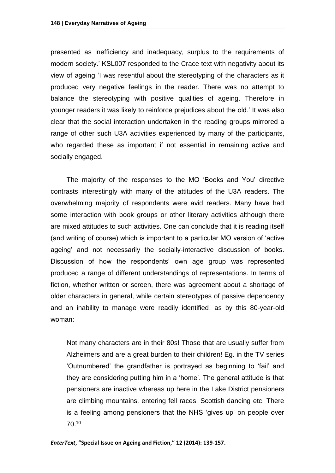presented as inefficiency and inadequacy, surplus to the requirements of modern society.' KSL007 responded to the Crace text with negativity about its view of ageing 'I was resentful about the stereotyping of the characters as it produced very negative feelings in the reader. There was no attempt to balance the stereotyping with positive qualities of ageing. Therefore in younger readers it was likely to reinforce prejudices about the old.' It was also clear that the social interaction undertaken in the reading groups mirrored a range of other such U3A activities experienced by many of the participants, who regarded these as important if not essential in remaining active and socially engaged.

The majority of the responses to the MO 'Books and You' directive contrasts interestingly with many of the attitudes of the U3A readers. The overwhelming majority of respondents were avid readers. Many have had some interaction with book groups or other literary activities although there are mixed attitudes to such activities. One can conclude that it is reading itself (and writing of course) which is important to a particular MO version of 'active ageing' and not necessarily the socially-interactive discussion of books. Discussion of how the respondents' own age group was represented produced a range of different understandings of representations. In terms of fiction, whether written or screen, there was agreement about a shortage of older characters in general, while certain stereotypes of passive dependency and an inability to manage were readily identified, as by this 80-year-old woman:

Not many characters are in their 80s! Those that are usually suffer from Alzheimers and are a great burden to their children! Eg. in the TV series 'Outnumbered' the grandfather is portrayed as beginning to 'fail' and they are considering putting him in a 'home'. The general attitude is that pensioners are inactive whereas up here in the Lake District pensioners are climbing mountains, entering fell races, Scottish dancing etc. There is a feeling among pensioners that the NHS 'gives up' on people over 70.10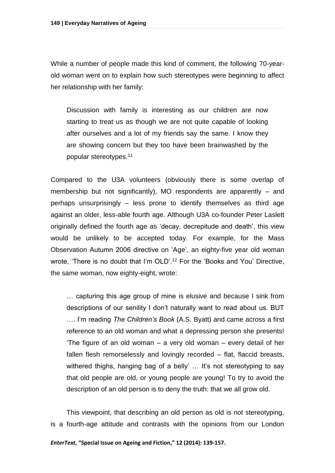While a number of people made this kind of comment, the following 70-yearold woman went on to explain how such stereotypes were beginning to affect her relationship with her family:

Discussion with family is interesting as our children are now starting to treat us as though we are not quite capable of looking after ourselves and a lot of my friends say the same. I know they are showing concern but they too have been brainwashed by the popular stereotypes.<sup>11</sup>

Compared to the U3A volunteers (obviously there is some overlap of membership but not significantly), MO respondents are apparently – and perhaps unsurprisingly – less prone to identify themselves as third age against an older, less-able fourth age. Although U3A co-founder Peter Laslett originally defined the fourth age as 'decay, decrepitude and death', this view would be unlikely to be accepted today. For example, for the Mass Observation Autumn 2006 directive on 'Age', an eighty-five year old woman wrote, 'There is no doubt that I'm OLD'.<sup>12</sup> For the 'Books and You' Directive, the same woman, now eighty-eight, wrote:

… capturing this age group of mine is elusive and because I sink from descriptions of our senility I don't naturally want to read about us. BUT …. I'm reading *The Children's Book* (A.S. Byatt) and came across a first reference to an old woman and what a depressing person she presents! 'The figure of an old woman – a very old woman – every detail of her fallen flesh remorselessly and lovingly recorded – flat, flaccid breasts, withered thighs, hanging bag of a belly' ... It's not stereotyping to say that old people are old, or young people are young! To try to avoid the description of an old person is to deny the truth: that we all grow old.

This viewpoint, that describing an old person as old is not stereotyping, is a fourth-age attitude and contrasts with the opinions from our London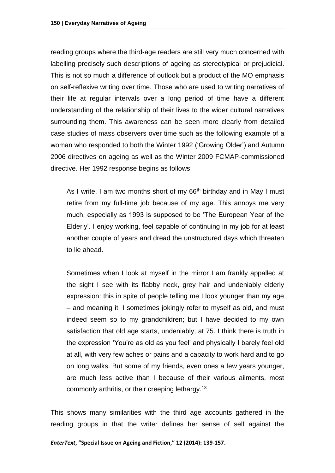reading groups where the third-age readers are still very much concerned with labelling precisely such descriptions of ageing as stereotypical or prejudicial. This is not so much a difference of outlook but a product of the MO emphasis on self-reflexive writing over time. Those who are used to writing narratives of their life at regular intervals over a long period of time have a different understanding of the relationship of their lives to the wider cultural narratives surrounding them. This awareness can be seen more clearly from detailed case studies of mass observers over time such as the following example of a woman who responded to both the Winter 1992 ('Growing Older') and Autumn 2006 directives on ageing as well as the Winter 2009 FCMAP-commissioned directive. Her 1992 response begins as follows:

As I write, I am two months short of my  $66<sup>th</sup>$  birthday and in May I must retire from my full-time job because of my age. This annoys me very much, especially as 1993 is supposed to be 'The European Year of the Elderly'. I enjoy working, feel capable of continuing in my job for at least another couple of years and dread the unstructured days which threaten to lie ahead.

Sometimes when I look at myself in the mirror I am frankly appalled at the sight I see with its flabby neck, grey hair and undeniably elderly expression: this in spite of people telling me I look younger than my age – and meaning it. I sometimes jokingly refer to myself as old, and must indeed seem so to my grandchildren; but I have decided to my own satisfaction that old age starts, undeniably, at 75. I think there is truth in the expression 'You're as old as you feel' and physically I barely feel old at all, with very few aches or pains and a capacity to work hard and to go on long walks. But some of my friends, even ones a few years younger, are much less active than I because of their various ailments, most commonly arthritis, or their creeping lethargy.<sup>13</sup>

This shows many similarities with the third age accounts gathered in the reading groups in that the writer defines her sense of self against the

*EnterText***, "Special Issue on Ageing and Fiction," 12 (2014): 139-157.**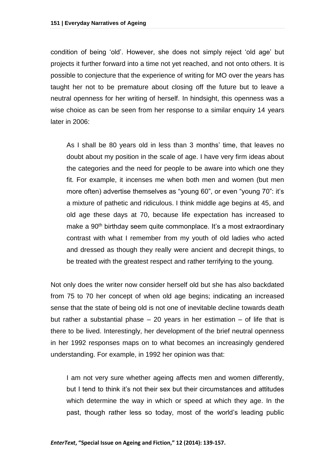condition of being 'old'. However, she does not simply reject 'old age' but projects it further forward into a time not yet reached, and not onto others. It is possible to conjecture that the experience of writing for MO over the years has taught her not to be premature about closing off the future but to leave a neutral openness for her writing of herself. In hindsight, this openness was a wise choice as can be seen from her response to a similar enquiry 14 years later in 2006:

As I shall be 80 years old in less than 3 months' time, that leaves no doubt about my position in the scale of age. I have very firm ideas about the categories and the need for people to be aware into which one they fit. For example, it incenses me when both men and women (but men more often) advertise themselves as "young 60", or even "young 70": it's a mixture of pathetic and ridiculous. I think middle age begins at 45, and old age these days at 70, because life expectation has increased to make a 90<sup>th</sup> birthday seem quite commonplace. It's a most extraordinary contrast with what I remember from my youth of old ladies who acted and dressed as though they really were ancient and decrepit things, to be treated with the greatest respect and rather terrifying to the young.

Not only does the writer now consider herself old but she has also backdated from 75 to 70 her concept of when old age begins; indicating an increased sense that the state of being old is not one of inevitable decline towards death but rather a substantial phase  $-20$  years in her estimation  $-$  of life that is there to be lived. Interestingly, her development of the brief neutral openness in her 1992 responses maps on to what becomes an increasingly gendered understanding. For example, in 1992 her opinion was that:

I am not very sure whether ageing affects men and women differently, but I tend to think it's not their sex but their circumstances and attitudes which determine the way in which or speed at which they age. In the past, though rather less so today, most of the world's leading public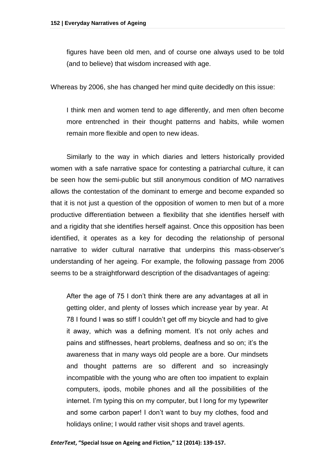figures have been old men, and of course one always used to be told (and to believe) that wisdom increased with age.

Whereas by 2006, she has changed her mind quite decidedly on this issue:

I think men and women tend to age differently, and men often become more entrenched in their thought patterns and habits, while women remain more flexible and open to new ideas.

Similarly to the way in which diaries and letters historically provided women with a safe narrative space for contesting a patriarchal culture, it can be seen how the semi-public but still anonymous condition of MO narratives allows the contestation of the dominant to emerge and become expanded so that it is not just a question of the opposition of women to men but of a more productive differentiation between a flexibility that she identifies herself with and a rigidity that she identifies herself against. Once this opposition has been identified, it operates as a key for decoding the relationship of personal narrative to wider cultural narrative that underpins this mass-observer's understanding of her ageing. For example, the following passage from 2006 seems to be a straightforward description of the disadvantages of ageing:

After the age of 75 I don't think there are any advantages at all in getting older, and plenty of losses which increase year by year. At 78 I found I was so stiff I couldn't get off my bicycle and had to give it away, which was a defining moment. It's not only aches and pains and stiffnesses, heart problems, deafness and so on; it's the awareness that in many ways old people are a bore. Our mindsets and thought patterns are so different and so increasingly incompatible with the young who are often too impatient to explain computers, ipods, mobile phones and all the possibilities of the internet. I'm typing this on my computer, but I long for my typewriter and some carbon paper! I don't want to buy my clothes, food and holidays online; I would rather visit shops and travel agents.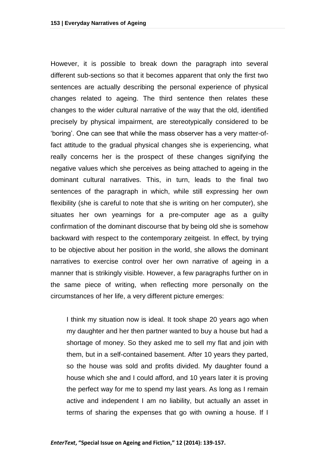However, it is possible to break down the paragraph into several different sub-sections so that it becomes apparent that only the first two sentences are actually describing the personal experience of physical changes related to ageing. The third sentence then relates these changes to the wider cultural narrative of the way that the old, identified precisely by physical impairment, are stereotypically considered to be 'boring'. One can see that while the mass observer has a very matter-offact attitude to the gradual physical changes she is experiencing, what really concerns her is the prospect of these changes signifying the negative values which she perceives as being attached to ageing in the dominant cultural narratives. This, in turn, leads to the final two sentences of the paragraph in which, while still expressing her own flexibility (she is careful to note that she is writing on her computer), she situates her own yearnings for a pre-computer age as a guilty confirmation of the dominant discourse that by being old she is somehow backward with respect to the contemporary zeitgeist. In effect, by trying to be objective about her position in the world, she allows the dominant narratives to exercise control over her own narrative of ageing in a manner that is strikingly visible. However, a few paragraphs further on in the same piece of writing, when reflecting more personally on the circumstances of her life, a very different picture emerges:

I think my situation now is ideal. It took shape 20 years ago when my daughter and her then partner wanted to buy a house but had a shortage of money. So they asked me to sell my flat and join with them, but in a self-contained basement. After 10 years they parted, so the house was sold and profits divided. My daughter found a house which she and I could afford, and 10 years later it is proving the perfect way for me to spend my last years. As long as I remain active and independent I am no liability, but actually an asset in terms of sharing the expenses that go with owning a house. If I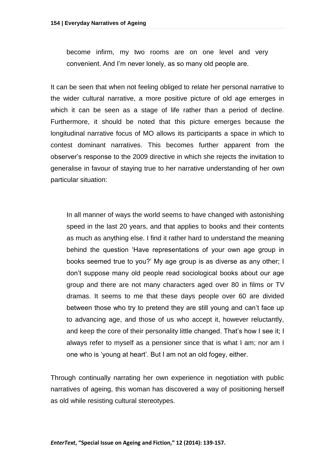become infirm, my two rooms are on one level and very convenient. And I'm never lonely, as so many old people are.

It can be seen that when not feeling obliged to relate her personal narrative to the wider cultural narrative, a more positive picture of old age emerges in which it can be seen as a stage of life rather than a period of decline. Furthermore, it should be noted that this picture emerges because the longitudinal narrative focus of MO allows its participants a space in which to contest dominant narratives. This becomes further apparent from the observer's response to the 2009 directive in which she rejects the invitation to generalise in favour of staying true to her narrative understanding of her own particular situation:

In all manner of ways the world seems to have changed with astonishing speed in the last 20 years, and that applies to books and their contents as much as anything else. I find it rather hard to understand the meaning behind the question 'Have representations of your own age group in books seemed true to you?' My age group is as diverse as any other; I don't suppose many old people read sociological books about our age group and there are not many characters aged over 80 in films or TV dramas. It seems to me that these days people over 60 are divided between those who try to pretend they are still young and can't face up to advancing age, and those of us who accept it, however reluctantly, and keep the core of their personality little changed. That's how I see it; I always refer to myself as a pensioner since that is what I am; nor am I one who is 'young at heart'. But I am not an old fogey, either.

Through continually narrating her own experience in negotiation with public narratives of ageing, this woman has discovered a way of positioning herself as old while resisting cultural stereotypes.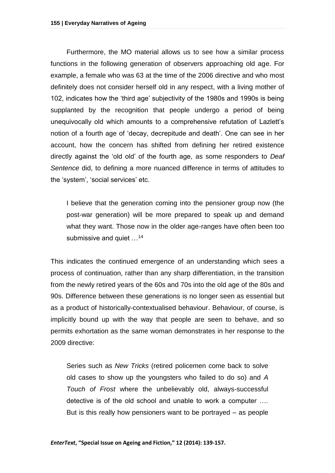Furthermore, the MO material allows us to see how a similar process functions in the following generation of observers approaching old age. For example, a female who was 63 at the time of the 2006 directive and who most definitely does not consider herself old in any respect, with a living mother of 102, indicates how the 'third age' subjectivity of the 1980s and 1990s is being supplanted by the recognition that people undergo a period of being unequivocally old which amounts to a comprehensive refutation of Lazlett's notion of a fourth age of 'decay, decrepitude and death'. One can see in her account, how the concern has shifted from defining her retired existence directly against the 'old old' of the fourth age, as some responders to *Deaf Sentence* did, to defining a more nuanced difference in terms of attitudes to the 'system', 'social services' etc.

I believe that the generation coming into the pensioner group now (the post-war generation) will be more prepared to speak up and demand what they want. Those now in the older age-ranges have often been too submissive and quiet  $\ldots$ <sup>14</sup>

This indicates the continued emergence of an understanding which sees a process of continuation, rather than any sharp differentiation, in the transition from the newly retired years of the 60s and 70s into the old age of the 80s and 90s. Difference between these generations is no longer seen as essential but as a product of historically-contextualised behaviour. Behaviour, of course, is implicitly bound up with the way that people are seen to behave, and so permits exhortation as the same woman demonstrates in her response to the 2009 directive:

Series such as *New Tricks* (retired policemen come back to solve old cases to show up the youngsters who failed to do so) and *A Touch of Frost* where the unbelievably old, always-successful detective is of the old school and unable to work a computer …. But is this really how pensioners want to be portrayed – as people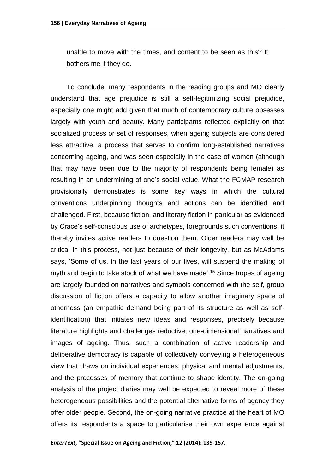unable to move with the times, and content to be seen as this? It bothers me if they do.

To conclude, many respondents in the reading groups and MO clearly understand that age prejudice is still a self-legitimizing social prejudice, especially one might add given that much of contemporary culture obsesses largely with youth and beauty. Many participants reflected explicitly on that socialized process or set of responses, when ageing subjects are considered less attractive, a process that serves to confirm long-established narratives concerning ageing, and was seen especially in the case of women (although that may have been due to the majority of respondents being female) as resulting in an undermining of one's social value. What the FCMAP research provisionally demonstrates is some key ways in which the cultural conventions underpinning thoughts and actions can be identified and challenged. First, because fiction, and literary fiction in particular as evidenced by Crace's self-conscious use of archetypes, foregrounds such conventions, it thereby invites active readers to question them. Older readers may well be critical in this process, not just because of their longevity, but as McAdams says, 'Some of us, in the last years of our lives, will suspend the making of myth and begin to take stock of what we have made'. <sup>15</sup> Since tropes of ageing are largely founded on narratives and symbols concerned with the self, group discussion of fiction offers a capacity to allow another imaginary space of otherness (an empathic demand being part of its structure as well as selfidentification) that initiates new ideas and responses, precisely because literature highlights and challenges reductive, one-dimensional narratives and images of ageing. Thus, such a combination of active readership and deliberative democracy is capable of collectively conveying a heterogeneous view that draws on individual experiences, physical and mental adjustments, and the processes of memory that continue to shape identity. The on-going analysis of the project diaries may well be expected to reveal more of these heterogeneous possibilities and the potential alternative forms of agency they offer older people. Second, the on-going narrative practice at the heart of MO offers its respondents a space to particularise their own experience against